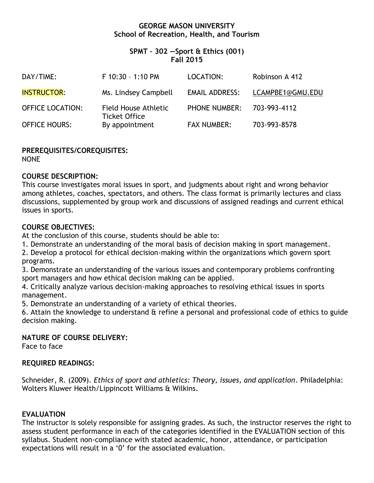## **GEORGE MASON UNIVERSITY School of Recreation, Health, and Tourism**

## **SPMT – 302 —Sport & Ethics (001) Fall 2015**

| DAY/TIME:               | F 10:30 - 1:10 PM                            | LOCATION:             | Robinson A 412   |
|-------------------------|----------------------------------------------|-----------------------|------------------|
| <b>INSTRUCTOR:</b>      | Ms. Lindsey Campbell                         | <b>EMAIL ADDRESS:</b> | LCAMPBE1@GMU.EDU |
| <b>OFFICE LOCATION:</b> | Field House Athletic<br><b>Ticket Office</b> | <b>PHONE NUMBER:</b>  | 703-993-4112     |
| <b>OFFICE HOURS:</b>    | By appointment                               | <b>FAX NUMBER:</b>    | 703-993-8578     |

**PREREQUISITES/COREQUISITES:**

NONE

# **COURSE DESCRIPTION:**

This course investigates moral issues in sport, and judgments about right and wrong behavior among athletes, coaches, spectators, and others. The class format is primarily lectures and class discussions, supplemented by group work and discussions of assigned readings and current ethical issues in sports.

## **COURSE OBJECTIVES:**

At the conclusion of this course, students should be able to:

1. Demonstrate an understanding of the moral basis of decision making in sport management.

2. Develop a protocol for ethical decision-making within the organizations which govern sport programs.

3. Demonstrate an understanding of the various issues and contemporary problems confronting sport managers and how ethical decision making can be applied.

4. Critically analyze various decision-making approaches to resolving ethical issues in sports management.

5. Demonstrate an understanding of a variety of ethical theories.

6. Attain the knowledge to understand & refine a personal and professional code of ethics to guide decision making.

### **NATURE OF COURSE DELIVERY:**

Face to face

### **REQUIRED READINGS:**

Schneider, R. (2009). *Ethics of sport and athletics: Theory, issues, and application*. Philadelphia: Wolters Kluwer Health/Lippincott Williams & Wilkins.

# **EVALUATION**

The instructor is solely responsible for assigning grades. As such, the instructor reserves the right to assess student performance in each of the categories identified in the EVALUATION section of this syllabus. Student non-compliance with stated academic, honor, attendance, or participation expectations will result in a '0' for the associated evaluation.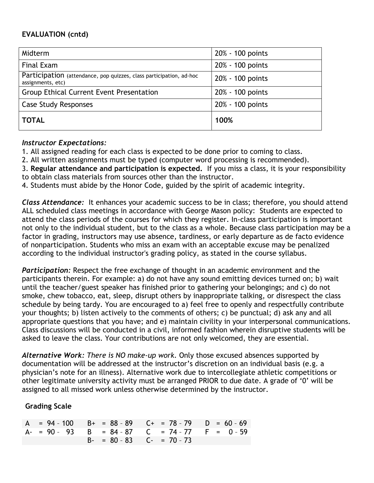# **EVALUATION (cntd)**

| Midterm                                                                                  | 20% - 100 points |
|------------------------------------------------------------------------------------------|------------------|
| Final Exam                                                                               | 20% - 100 points |
| Participation (attendance, pop quizzes, class participation, ad-hoc<br>assignments, etc) | 20% - 100 points |
| <b>Group Ethical Current Event Presentation</b>                                          | 20% - 100 points |
| <b>Case Study Responses</b>                                                              | 20% - 100 points |
| <b>TOTAL</b>                                                                             | 100%             |

## *Instructor Expectations:*

1. All assigned reading for each class is expected to be done prior to coming to class.

2. All written assignments must be typed (computer word processing is recommended).

3. **Regular attendance and participation is expected.** If you miss a class, it is your responsibility to obtain class materials from sources other than the instructor.

4. Students must abide by the Honor Code, guided by the spirit of academic integrity.

*Class Attendance:* It enhances your academic success to be in class; therefore, you should attend ALL scheduled class meetings in accordance with George Mason policy: Students are expected to attend the class periods of the courses for which they register. In-class participation is important not only to the individual student, but to the class as a whole. Because class participation may be a factor in grading, instructors may use absence, tardiness, or early departure as de facto evidence of nonparticipation. Students who miss an exam with an acceptable excuse may be penalized according to the individual instructor's grading policy, as stated in the course syllabus.

*Participation:* Respect the free exchange of thought in an academic environment and the participants therein. For example: a) do not have any sound emitting devices turned on; b) wait until the teacher/guest speaker has finished prior to gathering your belongings; and c) do not smoke, chew tobacco, eat, sleep, disrupt others by inappropriate talking, or disrespect the class schedule by being tardy. You are encouraged to a) feel free to openly and respectfully contribute your thoughts; b) listen actively to the comments of others; c) be punctual; d) ask any and all appropriate questions that you have; and e) maintain civility in your interpersonal communications. Class discussions will be conducted in a civil, informed fashion wherein disruptive students will be asked to leave the class. Your contributions are not only welcomed, they are essential.

*Alternative Work: There is NO make-up work.* Only those excused absences supported by documentation will be addressed at the instructor's discretion on an individual basis (e.g. a physician's note for an illness). Alternative work due to intercollegiate athletic competitions or other legitimate university activity must be arranged PRIOR to due date. A grade of '0' will be assigned to all missed work unless otherwise determined by the instructor.

# **Grading Scale**

|  |  | $A = 94 - 100$ $B + = 88 - 89$ $C + = 78 - 79$ $D = 60 - 69$ |  |
|--|--|--------------------------------------------------------------|--|
|  |  | A- = 90 - 93 B = 84 - 87 C = 74 - 77 F = 0 - 59              |  |
|  |  | $B - = 80 - 83$ $C - = 70 - 73$                              |  |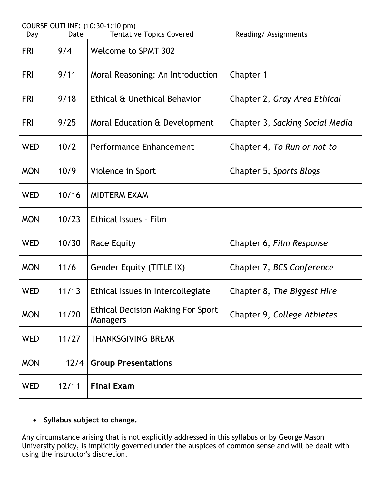|  | COURSE OUTLINE: (10:30-1:10 pm) |
|--|---------------------------------|
|  |                                 |

| Day        | Date  | <b>Tentative Topics Covered</b>                      | Reading/ Assignments            |
|------------|-------|------------------------------------------------------|---------------------------------|
| <b>FRI</b> | 9/4   | <b>Welcome to SPMT 302</b>                           |                                 |
| <b>FRI</b> | 9/11  | Moral Reasoning: An Introduction                     | Chapter 1                       |
| <b>FRI</b> | 9/18  | Ethical & Unethical Behavior                         | Chapter 2, Gray Area Ethical    |
| <b>FRI</b> | 9/25  | Moral Education & Development                        | Chapter 3, Sacking Social Media |
| <b>WED</b> | 10/2  | Performance Enhancement                              | Chapter 4, To Run or not to     |
| <b>MON</b> | 10/9  | Violence in Sport                                    | Chapter 5, Sports Blogs         |
| <b>WED</b> | 10/16 | <b>MIDTERM EXAM</b>                                  |                                 |
| <b>MON</b> | 10/23 | Ethical Issues - Film                                |                                 |
| <b>WED</b> | 10/30 | <b>Race Equity</b>                                   | Chapter 6, Film Response        |
| <b>MON</b> | 11/6  | <b>Gender Equity (TITLE IX)</b>                      | Chapter 7, BCS Conference       |
| <b>WED</b> | 11/13 | Ethical Issues in Intercollegiate                    | Chapter 8, The Biggest Hire     |
| <b>MON</b> | 11/20 | <b>Ethical Decision Making For Sport</b><br>Managers | Chapter 9, College Athletes     |
| <b>WED</b> | 11/27 | <b>THANKSGIVING BREAK</b>                            |                                 |
| <b>MON</b> | 12/4  | <b>Group Presentations</b>                           |                                 |
| <b>WED</b> | 12/11 | <b>Final Exam</b>                                    |                                 |

# **Syllabus subject to change.**

Any circumstance arising that is not explicitly addressed in this syllabus or by George Mason University policy, is implicitly governed under the auspices of common sense and will be dealt with using the instructor's discretion.